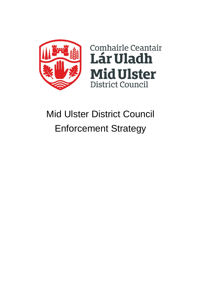



# Mid Ulster District Council Enforcement Strategy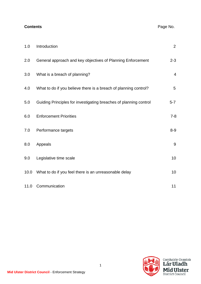## **Contents** Page No.

| 1.0  | Introduction                                                      | $\overline{2}$ |
|------|-------------------------------------------------------------------|----------------|
| 2.0  | General approach and key objectives of Planning Enforcement       | $2 - 3$        |
| 3.0  | What is a breach of planning?                                     | $\overline{4}$ |
| 4.0  | What to do if you believe there is a breach of planning control?  | 5              |
| 5.0  | Guiding Principles for investigating breaches of planning control | $5 - 7$        |
| 6.0  | <b>Enforcement Priorities</b>                                     | $7 - 8$        |
| 7.0  | Performance targets                                               | $8 - 9$        |
| 8.0  | Appeals                                                           | 9              |
| 9.0  | Legislative time scale                                            | 10             |
| 10.0 | What to do if you feel there is an unreasonable delay             | 10             |
| 11.0 | Communication                                                     | 11             |

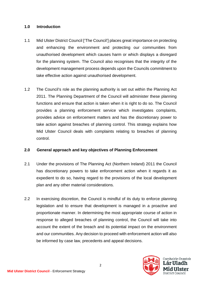#### **1.0 Introduction**

- 1.1 Mid Ulster District Council ['The Council'] places great importance on protecting and enhancing the environment and protecting our communities from unauthorised development which causes harm or which displays a disregard for the planning system. The Council also recognises that the integrity of the development management process depends upon the Councils commitment to take effective action against unauthorised development.
- 1.2 The Council's role as the planning authority is set out within the Planning Act 2011. The Planning Department of the Council will administer these planning functions and ensure that action is taken when it is right to do so. The Council provides a planning enforcement service which investigates complaints, provides advice on enforcement matters and has the discretionary power to take action against breaches of planning control. This strategy explains how Mid Ulster Council deals with complaints relating to breaches of planning control.

## **2.0 General approach and key objectives of Planning Enforcement**

- 2.1 Under the provisions of The Planning Act (Northern Ireland) 2011 the Council has discretionary powers to take enforcement action when it regards it as expedient to do so, having regard to the provisions of the local development plan and any other material considerations.
- 2.2 In exercising discretion, the Council is mindful of its duty to enforce planning legislation and to ensure that development is managed in a proactive and proportionate manner. In determining the most appropriate course of action in response to alleged breaches of planning control, the Council will take into account the extent of the breach and its potential impact on the environment and our communities. Any decision to proceed with enforcement action will also be informed by case law, precedents and appeal decisions.

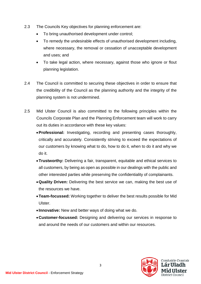- 2.3 The Councils Key objectives for planning enforcement are:
	- To bring unauthorised development under control;
	- To remedy the undesirable effects of unauthorised development including, where necessary, the removal or cessation of unacceptable development and uses; and
	- To take legal action, where necessary, against those who ignore or flout planning legislation.
- 2.4 The Council is committed to securing these objectives in order to ensure that the credibility of the Council as the planning authority and the integrity of the planning system is not undermined.
- 2.5 Mid Ulster Council is also committed to the following principles within the Councils Corporate Plan and the Planning Enforcement team will work to carry out its duties in accordance with these key values:
	- •**Professional:** Investigating, recording and presenting cases thoroughly, critically and accurately. Consistently striving to exceed the expectations of our customers by knowing what to do, how to do it, when to do it and why we do it.
	- •**Trustworthy:** Delivering a fair, transparent, equitable and ethical services to all customers, by being as open as possible in our dealings with the public and other interested parties while preserving the confidentiality of complainants.
	- •**Quality Driven:** Delivering the best service we can, making the best use of the resources we have.
	- •**Team-focussed:** Working together to deliver the best results possible for Mid Ulster.
	- **Innovative:** New and better ways of doing what we do.
	- •**Customer-focussed:** Designing and delivering our services in response to and around the needs of our customers and within our resources.

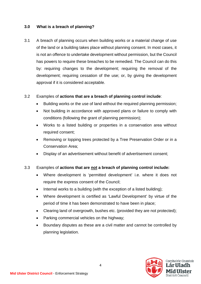## **3.0 What is a breach of planning?**

3.1 A breach of planning occurs when building works or a material change of use of the land or a building takes place without planning consent. In most cases, it is not an offence to undertake development without permission, but the Council has powers to require these breaches to be remedied. The Council can do this by: requiring changes to the development; requiring the removal of the development; requiring cessation of the use; or, by giving the development approval if it is considered acceptable.

#### 3.2 Examples of **actions that are a breach of planning control include**:

- Building works or the use of land without the required planning permission;
- Not building in accordance with approved plans or failure to comply with conditions (following the grant of planning permission);
- Works to a listed building or properties in a conservation area without required consent;
- Removing or lopping trees protected by a Tree Preservation Order or in a Conservation Area;
- Display of an advertisement without benefit of advertisement consent;

## 3.3 Examples of **actions that are not a breach of planning control include:**

- Where development is 'permitted development' i.e. where it does not require the express consent of the Council;
- Internal works to a building (with the exception of a listed building);
- Where development is certified as 'Lawful Development' by virtue of the period of time it has been demonstrated to have been in place;
- Clearing land of overgrowth, bushes etc. (provided they are not protected);
- Parking commercial vehicles on the highway;
- Boundary disputes as these are a civil matter and cannot be controlled by planning legislation.

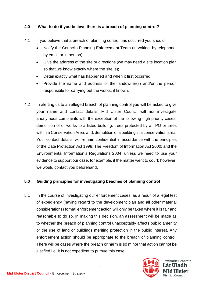## **4.0 What to do if you believe there is a breach of planning control?**

- 4.1 If you believe that a breach of planning control has occurred you should:
	- Notify the Councils Planning Enforcement Team (in writing, by telephone, by email or in person);
	- Give the address of the site or directions (we may need a site location plan so that we know exactly where the site is);
	- Detail exactly what has happened and when it first occurred;
	- Provide the name and address of the landowner(s) and/or the person responsible for carrying out the works, if known.
- 4.2 In alerting us to an alleged breach of planning control you will be asked to give your name and contact details. Mid Ulster Council will not investigate anonymous complaints with the exception of the following high priority cases: demolition of or works to a listed building; trees protected by a TPO or trees within a Conservation Area; and, demolition of a building in a conservation area. Your contact details, will remain confidential in accordance with the principles of the Data Protection Act 1998; The Freedom of Information Act 2000; and the Environmental Information's Regulations 2004, unless we need to use your evidence to support our case, for example, if the matter went to court; however, we would contact you beforehand.

## **5.0 Guiding principles for investigating beaches of planning control**

5.1 In the course of investigating our enforcement cases, as a result of a legal test of expediency (having regard to the development plan and all other material considerations) formal enforcement action will only be taken where it is fair and reasonable to do so. In making this decision, an assessment will be made as to whether the breach of planning control unacceptably affects public amenity or the use of land or buildings meriting protection in the public interest. Any enforcement action should be appropriate to the breach of planning control. There will be cases where the breach or harm is so minor that action cannot be justified i.e. it is not expedient to pursue this case.

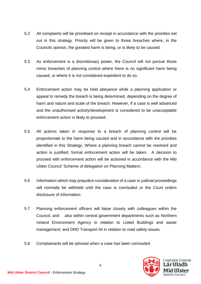- 5.2 All complaints will be prioritised on receipt in accordance with the priorities set out in this strategy. Priority will be given to those breaches where, in the Councils opinion, the greatest harm is being, or is likely to be caused.
- 5.3 As enforcement is a discretionary power, the Council will not pursue those minor breaches of planning control where there is no significant harm being caused, or where it is not considered expedient to do so.
- 5.4 Enforcement action may be held abeyance while a planning application or appeal to remedy the breach is being determined, depending on the degree of harm and nature and scale of the breach. However, if a case is well advanced and the unauthorised activity/development is considered to be unacceptable enforcement action is likely to proceed.
- 5.5 All actions taken in response to a breach of planning control will be proportionate to the harm being caused and in accordance with the priorities identified in this Strategy. Where a planning breach cannot be resolved and action is justified, formal enforcement action will be taken. A decision to proceed with enforcement action will be actioned in accordance with the Mid Ulster Council 'Scheme of delegation on Planning Matters'.
- 5.6 Information which may prejudice consideration of a case or judicial proceedings will normally be withheld until the case is concluded or the Court orders disclosure of information.
- 5.7 Planning enforcement officers will liaise closely with colleagues within the Council, and also within central government departments such as Northern Ireland Environment Agency in relation to Listed Buildings and waste management; and DRD Transport NI in relation to road safety issues.
- 5.8 Complainants will be advised when a case has been concluded.

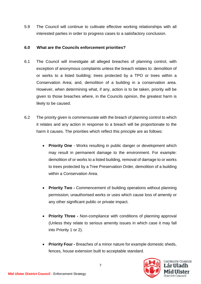5.9 The Council will continue to cultivate effective working relationships with all interested parties in order to progress cases to a satisfactory conclusion.

## **6.0 What are the Councils enforcement priorities?**

- 6.1 The Council will investigate all alleged breaches of planning control, with exception of anonymous complaints unless the breach relates to: demolition of or works to a listed building; trees protected by a TPO or trees within a Conservation Area; and, demolition of a building in a conservation area. However, when determining what, if any, action is to be taken, priority will be given to those breaches where, in the Councils opinion, the greatest harm is likely to be caused.
- 6.2 The priority given is commensurate with the breach of planning control to which it relates and any action in response to a breach will be proportionate to the harm it causes. The priorities which reflect this principle are as follows:
	- **Priority One** Works resulting in public danger or development which may result in permanent damage to the environment. For example: demolition of or works to a listed building, removal of damage to or works to trees protected by a Tree Preservation Order, demolition of a building within a Conservation Area.
	- **Priority Two -** Commencement of building operations without planning permission; unauthorised works or uses which cause loss of amenity or any other significant public or private impact.
	- **Priority Three -** Non-compliance with conditions of planning approval (Unless they relate to serious amenity issues in which case it may fall into Priority 1 or 2).
	- **Priority Four -** Breaches of a minor nature for example domestic sheds, fences, house extension built to acceptable standard.

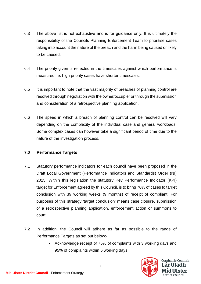- 6.3 The above list is not exhaustive and is for guidance only. It is ultimately the responsibility of the Councils Planning Enforcement Team to prioritise cases taking into account the nature of the breach and the harm being caused or likely to be caused.
- 6.4 The priority given is reflected in the timescales against which performance is measured i.e. high priority cases have shorter timescales.
- 6.5 It is important to note that the vast majority of breaches of planning control are resolved through negotiation with the owner/occupier or through the submission and consideration of a retrospective planning application.
- 6.6 The speed in which a breach of planning control can be resolved will vary depending on the complexity of the individual case and general workloads. Some complex cases can however take a significant period of time due to the nature of the investigation process.

## **7.0 Performance Targets**

- 7.1 Statutory performance indicators for each council have been proposed in the Draft Local Government (Performance Indicators and Standards) Order (NI) 2015. Within this legislation the statutory Key Performance Indicator (KPI) target for Enforcement agreed by this Council, is to bring 70% of cases to target conclusion with 39 working weeks (9 months) of receipt of compliant. For purposes of this strategy 'target conclusion' means case closure, submission of a retrospective planning application, enforcement action or summons to court.
- 7.2 In addition, the Council will adhere as far as possible to the range of Performance Targets as set out below:-
	- Acknowledge receipt of 75% of complaints with 3 working days and 95% of complaints within 6 working days.

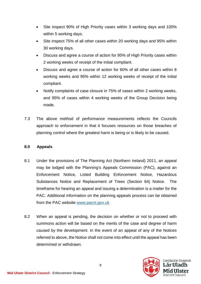- Site inspect 90% of High Priority cases within 3 working days and 100% within 5 working days.
- Site inspect 75% of all other cases within 20 working days and 95% within 30 working days.
- Discuss and agree a course of action for 95% of High Priority cases within 2 working weeks of receipt of the initial compliant.
- Discuss and agree a course of action for 60% of all other cases within 8 working weeks and 95% within 12 working weeks of receipt of the initial compliant.
- Notify complaints of case closure in 75% of cases within 2 working weeks, and 95% of cases within 4 working weeks of the Group Decision being made.
- 7.3 The above method of performance measurements reflects the Councils approach to enforcement in that it focuses resources on those breaches of planning control where the greatest harm is being or is likely to be caused.

## **8.0 Appeals**

- 8.1 Under the provisions of The Planning Act (Northern Ireland) 2011, an appeal may be lodged with the Planning's Appeals Commission (PAC), against an Enforcement Notice, Listed Building Enforcement Notice, Hazardous Substances Notice and Replacement of Trees (Section 64) Notice. The timeframe for hearing an appeal and issuing a determination is a matter for the PAC. Additional information on the planning appeals process can be obtained from the PAC website [www.pacni.gov.uk](http://www.pacni.gov.uk/)
- 8.2 When an appeal is pending, the decision on whether or not to proceed with summons action will be based on the merits of the case and degree of harm caused by the development. In the event of an appeal of any of the Notices referred to above, the Notice shall not come into effect until the appeal has been determined or withdrawn.

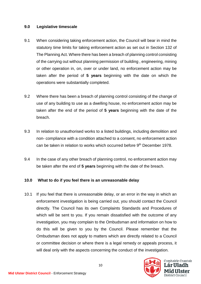#### **9.0 Legislative timescale**

- 9.1 When considering taking enforcement action, the Council will bear in mind the statutory time limits for taking enforcement action as set out in Section 132 of The Planning Act. Where there has been a breach of planning control consisting of the carrying out without planning permission of building , engineering, mining or other operation in, on, over or under land, no enforcement action may be taken after the period of **5 years** beginning with the date on which the operations were substantially completed.
- 9.2 Where there has been a breach of planning control consisting of the change of use of any building to use as a dwelling house, no enforcement action may be taken after the end of the period of **5 years** beginning with the date of the breach.
- 9.3 In relation to unauthorised works to a listed buildings, including demolition and non- compliance with a condition attached to a consent, no enforcement action can be taken in relation to works which occurred before 9<sup>th</sup> December 1978.
- 9.4 In the case of any other breach of planning control, no enforcement action may be taken after the end of **5 years** beginning with the date of the breach.

## **10.0 What to do if you feel there is an unreasonable delay**

10.1 If you feel that there is unreasonable delay, or an error in the way in which an enforcement investigation is being carried out, you should contact the Council directly. The Council has its own Complaints Standards and Procedures of which will be sent to you. If you remain dissatisfied with the outcome of any investigation, you may complain to the Ombudsman and information on how to do this will be given to you by the Council. Please remember that the Ombudsman does not apply to matters which are directly related to a Council or committee decision or where there is a legal remedy or appeals process, it will deal only with the aspects concerning the conduct of the investigation.